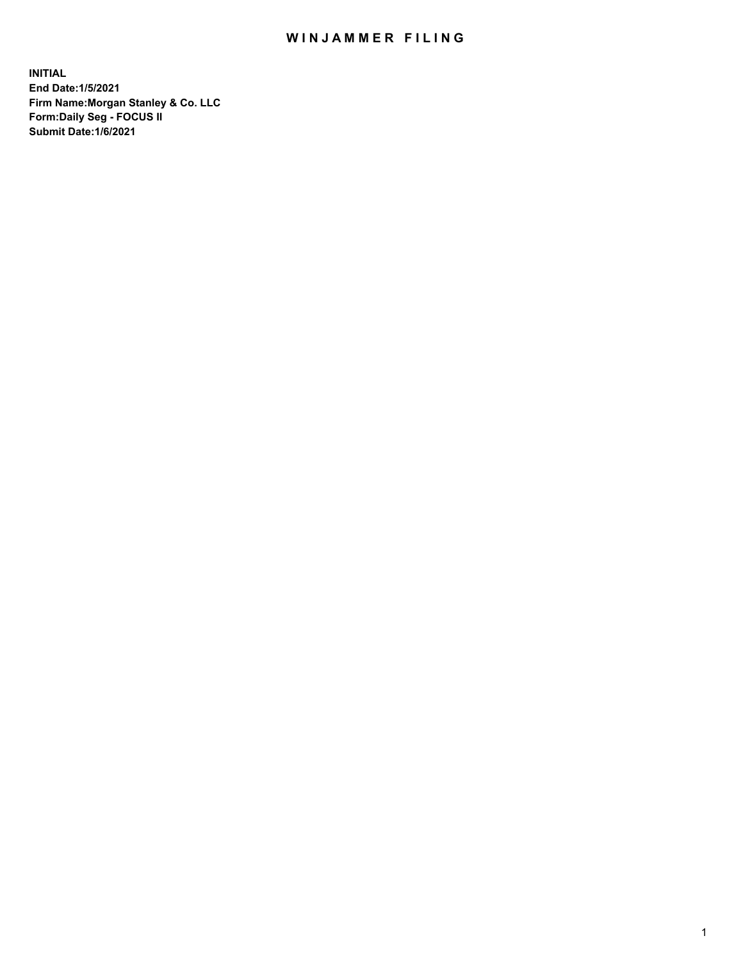## WIN JAMMER FILING

**INITIAL End Date:1/5/2021 Firm Name:Morgan Stanley & Co. LLC Form:Daily Seg - FOCUS II Submit Date:1/6/2021**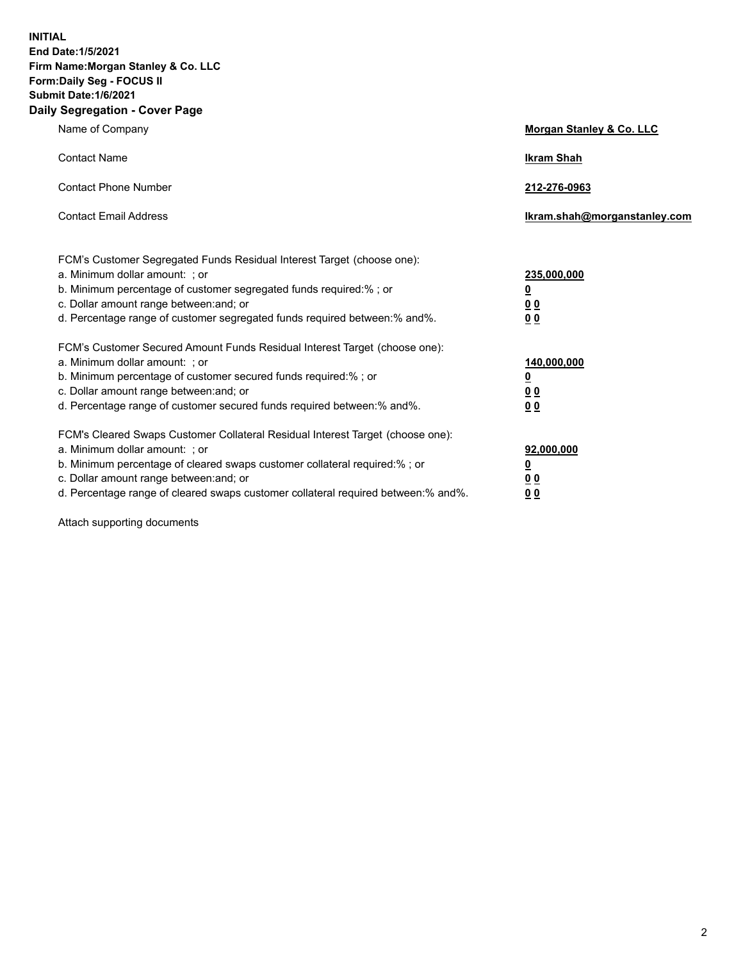**INITIAL End Date:1/5/2021 Firm Name:Morgan Stanley & Co. LLC Form:Daily Seg - FOCUS II Submit Date:1/6/2021 Daily Segregation - Cover Page**

| Name of Company                                                                                                                                                                                                                                                                                                                | <b>Morgan Stanley &amp; Co. LLC</b>                     |
|--------------------------------------------------------------------------------------------------------------------------------------------------------------------------------------------------------------------------------------------------------------------------------------------------------------------------------|---------------------------------------------------------|
| <b>Contact Name</b>                                                                                                                                                                                                                                                                                                            | <b>Ikram Shah</b>                                       |
| <b>Contact Phone Number</b>                                                                                                                                                                                                                                                                                                    | 212-276-0963                                            |
| <b>Contact Email Address</b>                                                                                                                                                                                                                                                                                                   | Ikram.shah@morganstanley.com                            |
| FCM's Customer Segregated Funds Residual Interest Target (choose one):<br>a. Minimum dollar amount: ; or<br>b. Minimum percentage of customer segregated funds required:% ; or<br>c. Dollar amount range between: and; or                                                                                                      | 235,000,000<br><u>0</u><br><u>00</u>                    |
| d. Percentage range of customer segregated funds required between:% and%.<br>FCM's Customer Secured Amount Funds Residual Interest Target (choose one):                                                                                                                                                                        | 0 <sup>0</sup>                                          |
| a. Minimum dollar amount: ; or<br>b. Minimum percentage of customer secured funds required:%; or<br>c. Dollar amount range between: and; or<br>d. Percentage range of customer secured funds required between: % and %.                                                                                                        | 140,000,000<br><u>0</u><br><u>0 0</u><br>0 <sub>0</sub> |
| FCM's Cleared Swaps Customer Collateral Residual Interest Target (choose one):<br>a. Minimum dollar amount: ; or<br>b. Minimum percentage of cleared swaps customer collateral required:% ; or<br>c. Dollar amount range between: and; or<br>d. Percentage range of cleared swaps customer collateral required between:% and%. | 92,000,000<br><u>0</u><br>0 Q<br>0 <sub>0</sub>         |

Attach supporting documents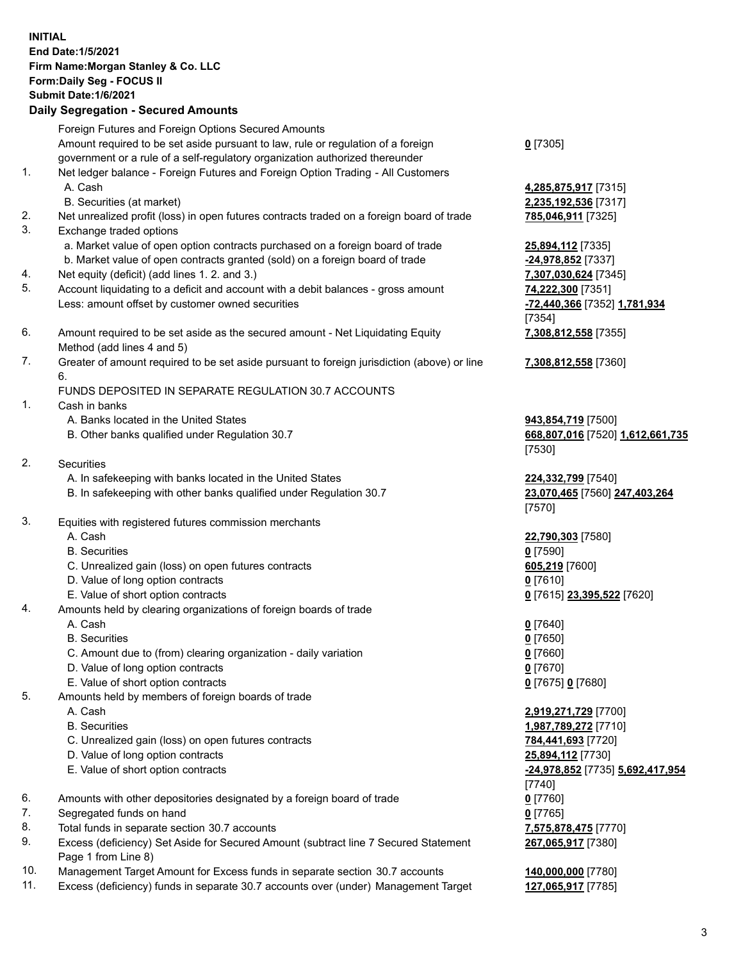## **INITIAL End Date:1/5/2021 Firm Name:Morgan Stanley & Co. LLC Form:Daily Seg - FOCUS II Submit Date:1/6/2021 Daily Segregation - Secured Amounts** Foreign Futures and Foreign Options Secured Amounts Amount required to be set aside pursuant to law, rule or regulation of a foreign government or a rule of a self-regulatory organization authorized thereunder

- 1. Net ledger balance Foreign Futures and Foreign Option Trading All Customers A. Cash **4,285,875,917** [7315]
	- B. Securities (at market) **2,235,192,536** [7317]
- 2. Net unrealized profit (loss) in open futures contracts traded on a foreign board of trade **785,046,911** [7325]
- 3. Exchange traded options
	- a. Market value of open option contracts purchased on a foreign board of trade **25,894,112** [7335]
	- b. Market value of open contracts granted (sold) on a foreign board of trade **-24,978,852** [7337]
- 4. Net equity (deficit) (add lines 1. 2. and 3.) **7,307,030,624** [7345]
- 5. Account liquidating to a deficit and account with a debit balances gross amount **74,222,300** [7351] Less: amount offset by customer owned securities **-72,440,366** [7352] **1,781,934**
- 6. Amount required to be set aside as the secured amount Net Liquidating Equity Method (add lines 4 and 5)
- 7. Greater of amount required to be set aside pursuant to foreign jurisdiction (above) or line 6.

## FUNDS DEPOSITED IN SEPARATE REGULATION 30.7 ACCOUNTS

- 1. Cash in banks
	- A. Banks located in the United States **943,854,719** [7500]
	- B. Other banks qualified under Regulation 30.7 **668,807,016** [7520] **1,612,661,735**
- 2. Securities
	- A. In safekeeping with banks located in the United States **224,332,799** [7540]
	- B. In safekeeping with other banks qualified under Regulation 30.7 **23,070,465** [7560] **247,403,264**
- 3. Equities with registered futures commission merchants
	-
	- B. Securities **0** [7590]
	- C. Unrealized gain (loss) on open futures contracts **605,219** [7600]
	- D. Value of long option contracts **0** [7610]
	- E. Value of short option contracts **0** [7615] **23,395,522** [7620]
- 4. Amounts held by clearing organizations of foreign boards of trade
	- A. Cash **0** [7640]
	- B. Securities **0** [7650]
	- C. Amount due to (from) clearing organization daily variation **0** [7660]
	- D. Value of long option contracts **0** [7670]
	- E. Value of short option contracts **0** [7675] **0** [7680]
- 5. Amounts held by members of foreign boards of trade
	-
	-
	- C. Unrealized gain (loss) on open futures contracts **784,441,693** [7720]
	- D. Value of long option contracts **25,894,112** [7730]
	-
- 6. Amounts with other depositories designated by a foreign board of trade **0** [7760]
- 7. Segregated funds on hand **0** [7765]
- 8. Total funds in separate section 30.7 accounts **7,575,878,475** [7770]
- 9. Excess (deficiency) Set Aside for Secured Amount (subtract line 7 Secured Statement Page 1 from Line 8)
- 10. Management Target Amount for Excess funds in separate section 30.7 accounts **140,000,000** [7780]
- 11. Excess (deficiency) funds in separate 30.7 accounts over (under) Management Target **127,065,917** [7785]

**0** [7305]

[7354] **7,308,812,558** [7355]

**7,308,812,558** [7360]

[7530]

[7570]

A. Cash **22,790,303** [7580]

 A. Cash **2,919,271,729** [7700] B. Securities **1,987,789,272** [7710] E. Value of short option contracts **-24,978,852** [7735] **5,692,417,954** [7740] **267,065,917** [7380]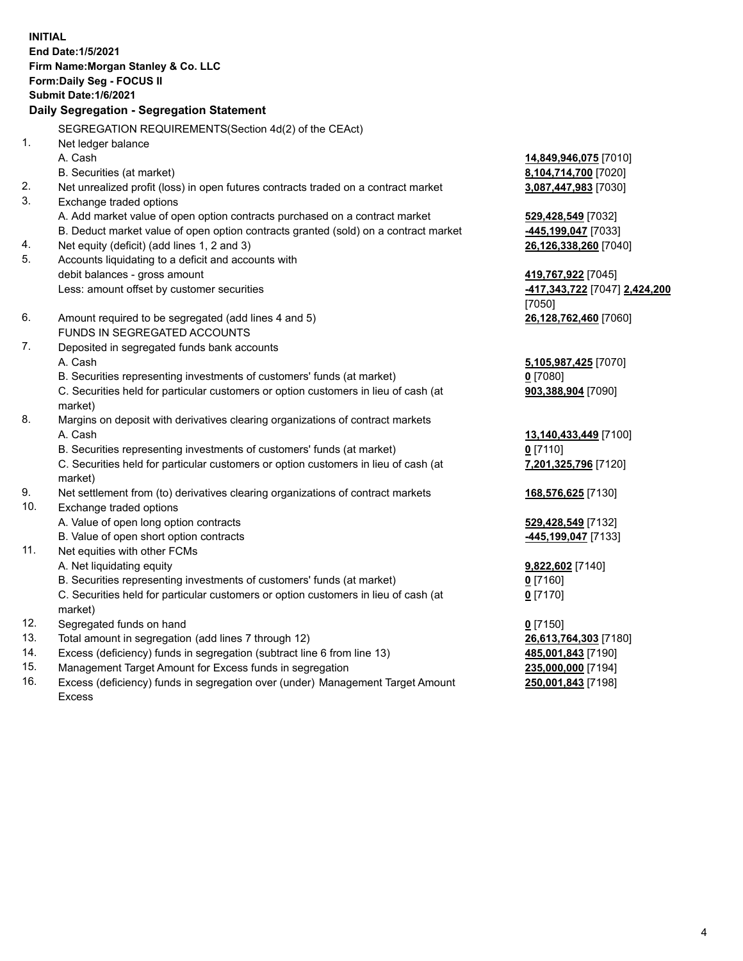**INITIAL End Date:1/5/2021 Firm Name:Morgan Stanley & Co. LLC Form:Daily Seg - FOCUS II Submit Date:1/6/2021 Daily Segregation - Segregation Statement** SEGREGATION REQUIREMENTS(Section 4d(2) of the CEAct) 1. Net ledger balance A. Cash **14,849,946,075** [7010] B. Securities (at market) **8,104,714,700** [7020] 2. Net unrealized profit (loss) in open futures contracts traded on a contract market **3,087,447,983** [7030] 3. Exchange traded options A. Add market value of open option contracts purchased on a contract market **529,428,549** [7032] B. Deduct market value of open option contracts granted (sold) on a contract market **-445,199,047** [7033] 4. Net equity (deficit) (add lines 1, 2 and 3) **26,126,338,260** [7040] 5. Accounts liquidating to a deficit and accounts with debit balances - gross amount **419,767,922** [7045] Less: amount offset by customer securities **-417,343,722** [7047] **2,424,200** [7050] 6. Amount required to be segregated (add lines 4 and 5) **26,128,762,460** [7060] FUNDS IN SEGREGATED ACCOUNTS 7. Deposited in segregated funds bank accounts A. Cash **5,105,987,425** [7070] B. Securities representing investments of customers' funds (at market) **0** [7080] C. Securities held for particular customers or option customers in lieu of cash (at market) **903,388,904** [7090] 8. Margins on deposit with derivatives clearing organizations of contract markets A. Cash **13,140,433,449** [7100] B. Securities representing investments of customers' funds (at market) **0** [7110] C. Securities held for particular customers or option customers in lieu of cash (at market) **7,201,325,796** [7120] 9. Net settlement from (to) derivatives clearing organizations of contract markets **168,576,625** [7130] 10. Exchange traded options A. Value of open long option contracts **529,428,549** [7132] B. Value of open short option contracts **-445,199,047** [7133] 11. Net equities with other FCMs A. Net liquidating equity **9,822,602** [7140] B. Securities representing investments of customers' funds (at market) **0** [7160] C. Securities held for particular customers or option customers in lieu of cash (at market) **0** [7170] 12. Segregated funds on hand **0** [7150] 13. Total amount in segregation (add lines 7 through 12) **26,613,764,303** [7180] 14. Excess (deficiency) funds in segregation (subtract line 6 from line 13) **485,001,843** [7190] 15. Management Target Amount for Excess funds in segregation **235,000,000** [7194]

16. Excess (deficiency) funds in segregation over (under) Management Target Amount

**250,001,843** [7198]